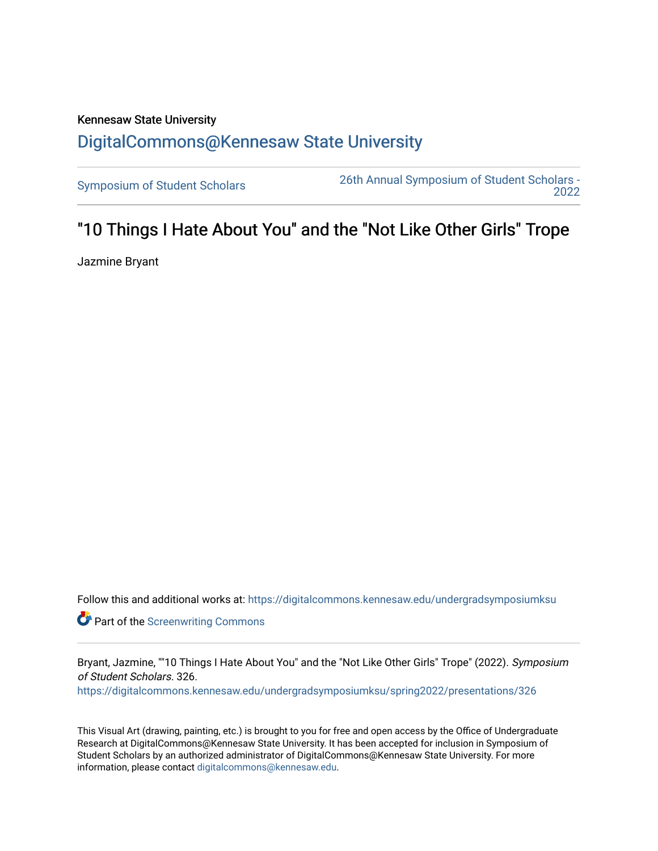## Kennesaw State University [DigitalCommons@Kennesaw State University](https://digitalcommons.kennesaw.edu/)

[Symposium of Student Scholars](https://digitalcommons.kennesaw.edu/undergradsymposiumksu) [26th Annual Symposium of Student Scholars -](https://digitalcommons.kennesaw.edu/undergradsymposiumksu/spring2022)  [2022](https://digitalcommons.kennesaw.edu/undergradsymposiumksu/spring2022) 

## "10 Things I Hate About You" and the "Not Like Other Girls" Trope

Jazmine Bryant

Follow this and additional works at: [https://digitalcommons.kennesaw.edu/undergradsymposiumksu](https://digitalcommons.kennesaw.edu/undergradsymposiumksu?utm_source=digitalcommons.kennesaw.edu%2Fundergradsymposiumksu%2Fspring2022%2Fpresentations%2F326&utm_medium=PDF&utm_campaign=PDFCoverPages) 

**Part of the Screenwriting Commons** 

Bryant, Jazmine, ""10 Things I Hate About You" and the "Not Like Other Girls" Trope" (2022). Symposium of Student Scholars. 326.

[https://digitalcommons.kennesaw.edu/undergradsymposiumksu/spring2022/presentations/326](https://digitalcommons.kennesaw.edu/undergradsymposiumksu/spring2022/presentations/326?utm_source=digitalcommons.kennesaw.edu%2Fundergradsymposiumksu%2Fspring2022%2Fpresentations%2F326&utm_medium=PDF&utm_campaign=PDFCoverPages)

This Visual Art (drawing, painting, etc.) is brought to you for free and open access by the Office of Undergraduate Research at DigitalCommons@Kennesaw State University. It has been accepted for inclusion in Symposium of Student Scholars by an authorized administrator of DigitalCommons@Kennesaw State University. For more information, please contact [digitalcommons@kennesaw.edu](mailto:digitalcommons@kennesaw.edu).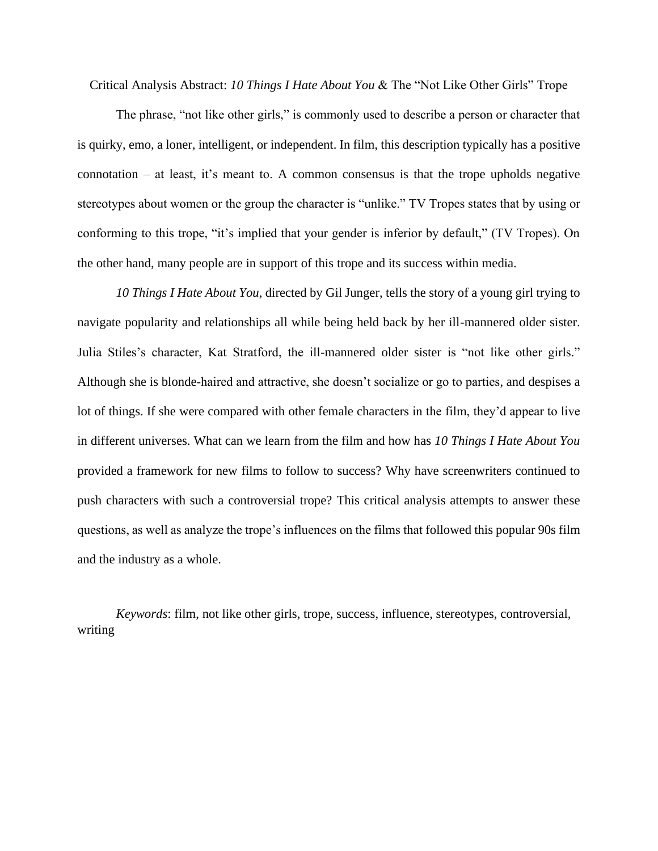Critical Analysis Abstract: *10 Things I Hate About You* & The "Not Like Other Girls" Trope

The phrase, "not like other girls," is commonly used to describe a person or character that is quirky, emo, a loner, intelligent, or independent. In film, this description typically has a positive connotation – at least, it's meant to. A common consensus is that the trope upholds negative stereotypes about women or the group the character is "unlike." TV Tropes states that by using or conforming to this trope, "it's implied that your gender is inferior by default," (TV Tropes). On the other hand, many people are in support of this trope and its success within media.

*10 Things I Hate About You*, directed by Gil Junger, tells the story of a young girl trying to navigate popularity and relationships all while being held back by her ill-mannered older sister. Julia Stiles's character, Kat Stratford, the ill-mannered older sister is "not like other girls." Although she is blonde-haired and attractive, she doesn't socialize or go to parties, and despises a lot of things. If she were compared with other female characters in the film, they'd appear to live in different universes. What can we learn from the film and how has *10 Things I Hate About You*  provided a framework for new films to follow to success? Why have screenwriters continued to push characters with such a controversial trope? This critical analysis attempts to answer these questions, as well as analyze the trope's influences on the films that followed this popular 90s film and the industry as a whole.

*Keywords*: film, not like other girls, trope, success, influence, stereotypes, controversial, writing